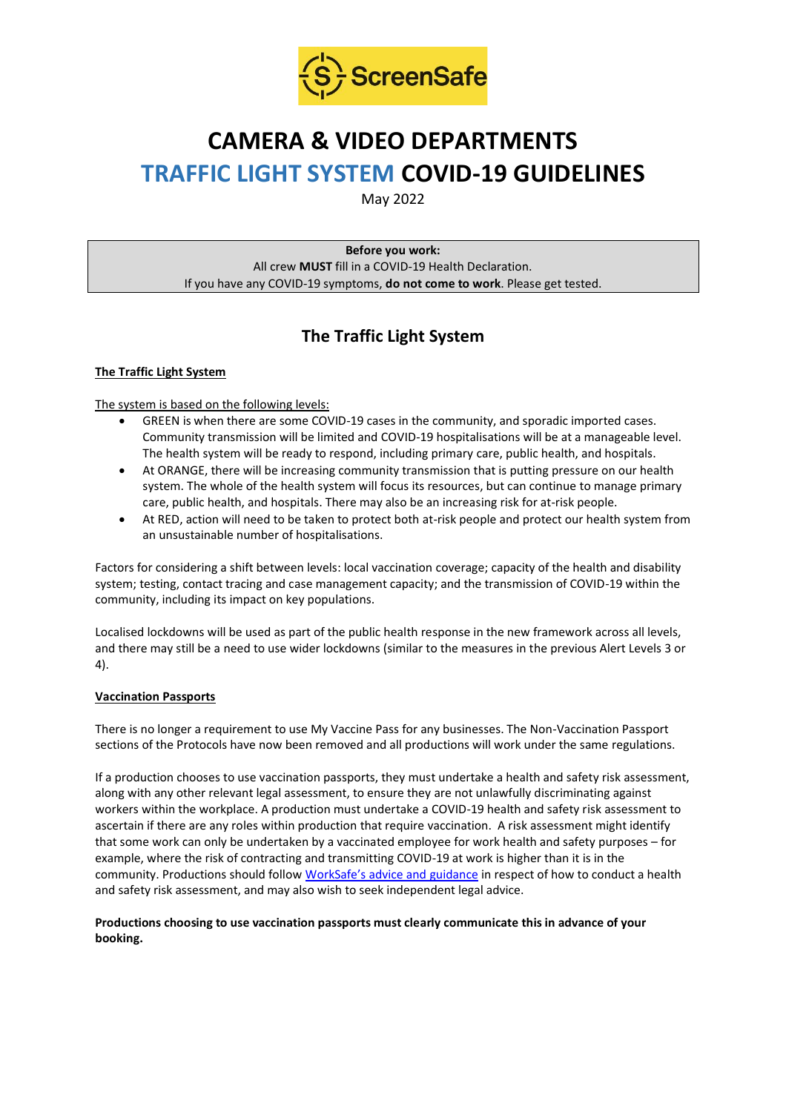

# **CAMERA & VIDEO DEPARTMENTS TRAFFIC LIGHT SYSTEM COVID-19 GUIDELINES**

May 2022

**Before you work:** All crew **MUST** fill in a COVID-19 Health Declaration. If you have any COVID-19 symptoms, **do not come to work**. Please get tested.

# **The Traffic Light System**

# **The Traffic Light System**

The system is based on the following levels:

- GREEN is when there are some COVID-19 cases in the community, and sporadic imported cases. Community transmission will be limited and COVID-19 hospitalisations will be at a manageable level. The health system will be ready to respond, including primary care, public health, and hospitals.
- At ORANGE, there will be increasing community transmission that is putting pressure on our health system. The whole of the health system will focus its resources, but can continue to manage primary care, public health, and hospitals. There may also be an increasing risk for at-risk people.
- At RED, action will need to be taken to protect both at-risk people and protect our health system from an unsustainable number of hospitalisations.

Factors for considering a shift between levels: local vaccination coverage; capacity of the health and disability system; testing, contact tracing and case management capacity; and the transmission of COVID-19 within the community, including its impact on key populations.

Localised lockdowns will be used as part of the public health response in the new framework across all levels, and there may still be a need to use wider lockdowns (similar to the measures in the previous Alert Levels 3 or 4).

## **Vaccination Passports**

There is no longer a requirement to use My Vaccine Pass for any businesses. The Non-Vaccination Passport sections of the Protocols have now been removed and all productions will work under the same regulations.

If a production chooses to use vaccination passports, they must undertake a health and safety risk assessment, along with any other relevant legal assessment, to ensure they are not unlawfully discriminating against workers within the workplace. A production must undertake a COVID-19 health and safety risk assessment to ascertain if there are any roles within production that require vaccination. A risk assessment might identify that some work can only be undertaken by a vaccinated employee for work health and safety purposes – for example, where the risk of contracting and transmitting COVID-19 at work is higher than it is in the community. Productions should follow [WorkSafe's advice and guidance](https://www.worksafe.govt.nz/managing-health-and-safety/novel-coronavirus-covid/covid-19-controls-at-work/) in respect of how to conduct a health and safety risk assessment, and may also wish to seek independent legal advice.

#### **Productions choosing to use vaccination passports must clearly communicate this in advance of your booking.**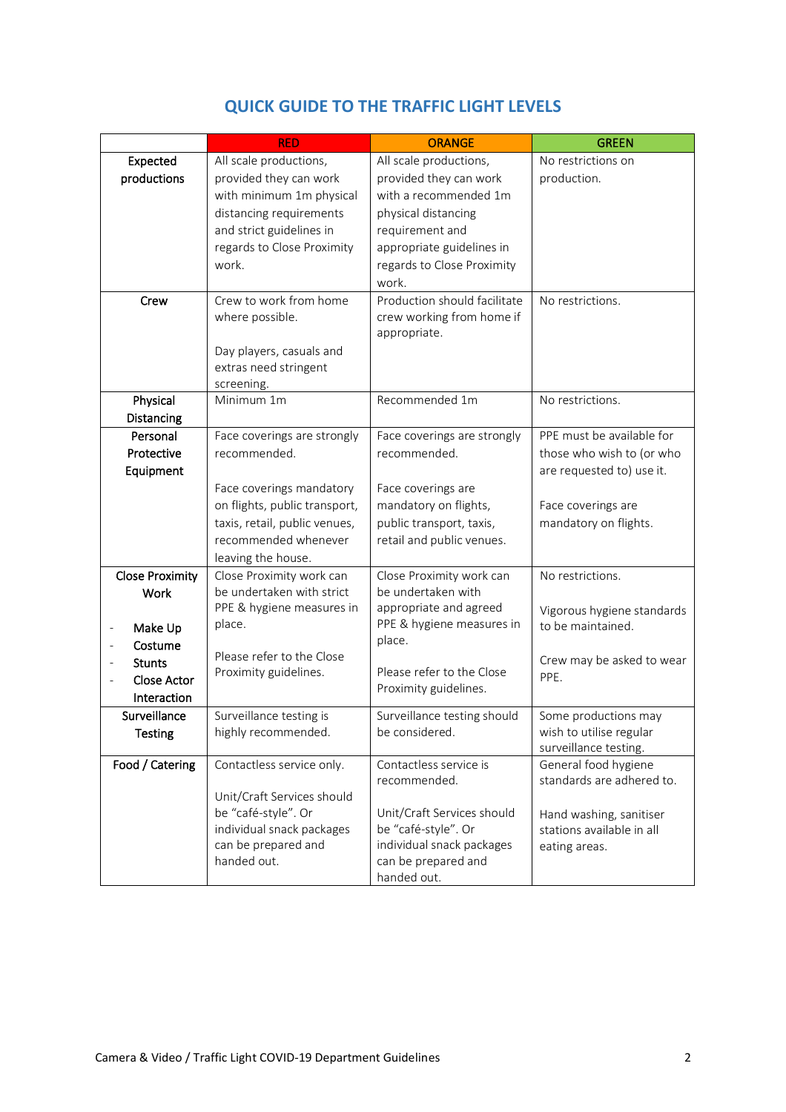|                        | <b>RED</b>                                       | <b>ORANGE</b>                                    | <b>GREEN</b>               |
|------------------------|--------------------------------------------------|--------------------------------------------------|----------------------------|
| Expected               | All scale productions,                           | All scale productions,                           | No restrictions on         |
| productions            | provided they can work                           | provided they can work                           | production.                |
|                        | with minimum 1m physical                         | with a recommended 1m                            |                            |
|                        | distancing requirements                          | physical distancing                              |                            |
|                        | and strict guidelines in                         | requirement and                                  |                            |
|                        | regards to Close Proximity                       | appropriate guidelines in                        |                            |
|                        | work.                                            | regards to Close Proximity                       |                            |
|                        |                                                  | work.                                            |                            |
| Crew                   | Crew to work from home                           | Production should facilitate                     | No restrictions.           |
|                        | where possible.                                  | crew working from home if                        |                            |
|                        |                                                  | appropriate.                                     |                            |
|                        | Day players, casuals and                         |                                                  |                            |
|                        | extras need stringent                            |                                                  |                            |
| Physical               | screening.<br>Minimum 1m                         | Recommended 1m                                   | No restrictions.           |
| Distancing             |                                                  |                                                  |                            |
| Personal               | Face coverings are strongly                      | Face coverings are strongly                      | PPE must be available for  |
| Protective             | recommended.                                     | recommended.                                     | those who wish to (or who  |
| Equipment              |                                                  |                                                  | are requested to) use it.  |
|                        | Face coverings mandatory                         | Face coverings are                               |                            |
|                        | on flights, public transport,                    | mandatory on flights,                            | Face coverings are         |
|                        | taxis, retail, public venues,                    | public transport, taxis,                         | mandatory on flights.      |
|                        | recommended whenever                             | retail and public venues.                        |                            |
|                        | leaving the house.                               |                                                  |                            |
| <b>Close Proximity</b> | Close Proximity work can                         | Close Proximity work can                         | No restrictions.           |
| Work                   | be undertaken with strict                        | be undertaken with                               |                            |
|                        | PPE & hygiene measures in                        | appropriate and agreed                           | Vigorous hygiene standards |
| Make Up                | place.                                           | PPE & hygiene measures in                        | to be maintained.          |
| Costume                |                                                  | place.                                           |                            |
| <b>Stunts</b>          | Please refer to the Close                        |                                                  | Crew may be asked to wear  |
| Close Actor            | Proximity guidelines.                            | Please refer to the Close                        | PPE.                       |
| Interaction            |                                                  | Proximity guidelines.                            |                            |
| Surveillance           | Surveillance testing is                          | Surveillance testing should                      | Some productions may       |
| <b>Testing</b>         | highly recommended.                              | be considered.                                   | wish to utilise regular    |
|                        |                                                  |                                                  | surveillance testing.      |
| Food / Catering        | Contactless service only.                        | Contactless service is                           | General food hygiene       |
|                        |                                                  | recommended.                                     | standards are adhered to.  |
|                        | Unit/Craft Services should                       |                                                  |                            |
|                        | be "café-style". Or                              | Unit/Craft Services should                       | Hand washing, sanitiser    |
|                        | individual snack packages<br>can be prepared and | be "café-style". Or<br>individual snack packages | stations available in all  |
|                        | handed out.                                      | can be prepared and                              | eating areas.              |
|                        |                                                  | handed out.                                      |                            |

# **QUICK GUIDE TO THE TRAFFIC LIGHT LEVELS**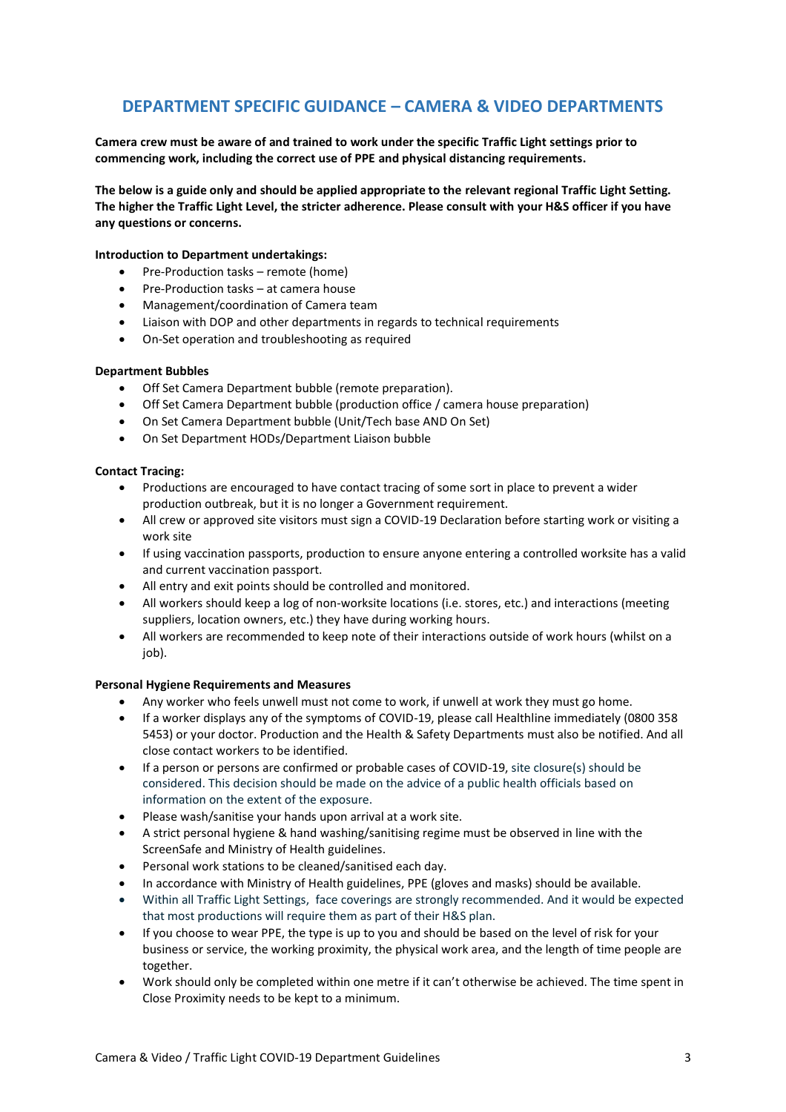# **DEPARTMENT SPECIFIC GUIDANCE – CAMERA & VIDEO DEPARTMENTS**

**Camera crew must be aware of and trained to work under the specific Traffic Light settings prior to commencing work, including the correct use of PPE and physical distancing requirements.**

**The below is a guide only and should be applied appropriate to the relevant regional Traffic Light Setting. The higher the Traffic Light Level, the stricter adherence. Please consult with your H&S officer if you have any questions or concerns.**

#### **Introduction to Department undertakings:**

- Pre-Production tasks remote (home)
- Pre-Production tasks at camera house
- Management/coordination of Camera team
- Liaison with DOP and other departments in regards to technical requirements
- On-Set operation and troubleshooting as required

#### **Department Bubbles**

- Off Set Camera Department bubble (remote preparation).
- Off Set Camera Department bubble (production office / camera house preparation)
- On Set Camera Department bubble (Unit/Tech base AND On Set)
- On Set Department HODs/Department Liaison bubble

#### **Contact Tracing:**

- Productions are encouraged to have contact tracing of some sort in place to prevent a wider production outbreak, but it is no longer a Government requirement.
- All crew or approved site visitors must sign a COVID-19 Declaration before starting work or visiting a work site
- If using vaccination passports, production to ensure anyone entering a controlled worksite has a valid and current vaccination passport.
- All entry and exit points should be controlled and monitored.
- All workers should keep a log of non-worksite locations (i.e. stores, etc.) and interactions (meeting suppliers, location owners, etc.) they have during working hours.
- All workers are recommended to keep note of their interactions outside of work hours (whilst on a iob).

#### **Personal Hygiene Requirements and Measures**

- Any worker who feels unwell must not come to work, if unwell at work they must go home.
- If a worker displays any of the symptoms of COVID-19, please call Healthline immediately (0800 358 5453) or your doctor. Production and the Health & Safety Departments must also be notified. And all close contact workers to be identified.
- If a person or persons are confirmed or probable cases of COVID-19, site closure(s) should be considered. This decision should be made on the advice of a public health officials based on information on the extent of the exposure.
- Please wash/sanitise your hands upon arrival at a work site.
- A strict personal hygiene & hand washing/sanitising regime must be observed in line with the ScreenSafe and Ministry of Health guidelines.
- Personal work stations to be cleaned/sanitised each day.
- In accordance with Ministry of Health guidelines, PPE (gloves and masks) should be available.
- Within all Traffic Light Settings, face coverings are strongly recommended. And it would be expected that most productions will require them as part of their H&S plan.
- If you choose to wear PPE, the type is up to you and should be based on the level of risk for your business or service, the working proximity, the physical work area, and the length of time people are together.
- Work should only be completed within one metre if it can't otherwise be achieved. The time spent in Close Proximity needs to be kept to a minimum.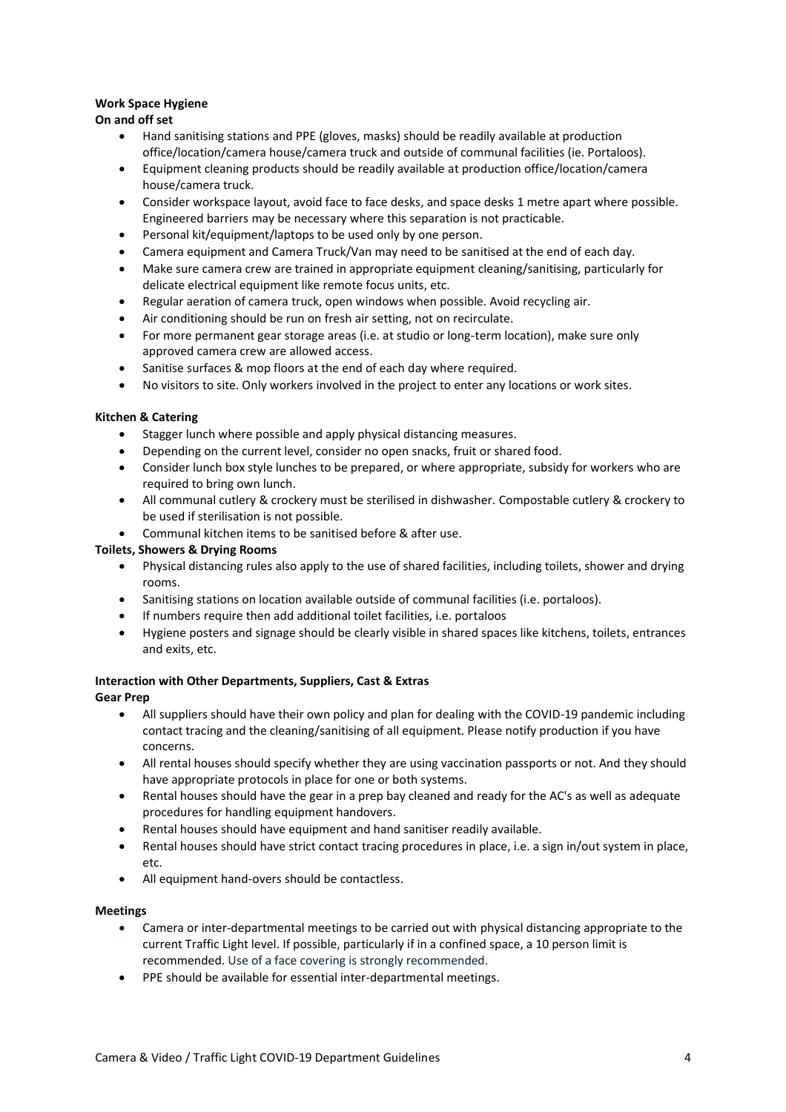# **Work Space Hygiene**

# **On and off set**

- Hand sanitising stations and PPE (gloves, masks) should be readily available at production office/location/camera house/camera truck and outside of communal facilities (ie. Portaloos).
- Equipment cleaning products should be readily available at production office/location/camera house/camera truck.
- Consider workspace layout, avoid face to face desks, and space desks 1 metre apart where possible. Engineered barriers may be necessary where this separation is not practicable.
- Personal kit/equipment/laptops to be used only by one person.
- Camera equipment and Camera Truck/Van may need to be sanitised at the end of each day.
- Make sure camera crew are trained in appropriate equipment cleaning/sanitising, particularly for delicate electrical equipment like remote focus units, etc.
- Regular aeration of camera truck, open windows when possible. Avoid recycling air.
- Air conditioning should be run on fresh air setting, not on recirculate.
- For more permanent gear storage areas (i.e. at studio or long-term location), make sure only approved camera crew are allowed access.
- Sanitise surfaces & mop floors at the end of each day where required.
- No visitors to site. Only workers involved in the project to enter any locations or work sites.

## **Kitchen & Catering**

- Stagger lunch where possible and apply physical distancing measures.
- Depending on the current level, consider no open snacks, fruit or shared food.
- Consider lunch box style lunches to be prepared, or where appropriate, subsidy for workers who are required to bring own lunch.
- All communal cutlery & crockery must be sterilised in dishwasher. Compostable cutlery & crockery to be used if sterilisation is not possible.
- Communal kitchen items to be sanitised before & after use.

# **Toilets, Showers & Drying Rooms**

- Physical distancing rules also apply to the use of shared facilities, including toilets, shower and drying rooms.
- Sanitising stations on location available outside of communal facilities (i.e. portaloos).
- If numbers require then add additional toilet facilities, i.e. portaloos
- Hygiene posters and signage should be clearly visible in shared spaces like kitchens, toilets, entrances and exits, etc.

## **Interaction with Other Departments, Suppliers, Cast & Extras**

## **Gear Prep**

- All suppliers should have their own policy and plan for dealing with the COVID-19 pandemic including contact tracing and the cleaning/sanitising of all equipment. Please notify production if you have concerns.
- All rental houses should specify whether they are using vaccination passports or not. And they should have appropriate protocols in place for one or both systems.
- Rental houses should have the gear in a prep bay cleaned and ready for the AC's as well as adequate procedures for handling equipment handovers.
- Rental houses should have equipment and hand sanitiser readily available.
- Rental houses should have strict contact tracing procedures in place, i.e. a sign in/out system in place, etc.
- All equipment hand-overs should be contactless.

## **Meetings**

- Camera or inter-departmental meetings to be carried out with physical distancing appropriate to the current Traffic Light level. If possible, particularly if in a confined space, a 10 person limit is recommended. Use of a face covering is strongly recommended.
- PPE should be available for essential inter-departmental meetings.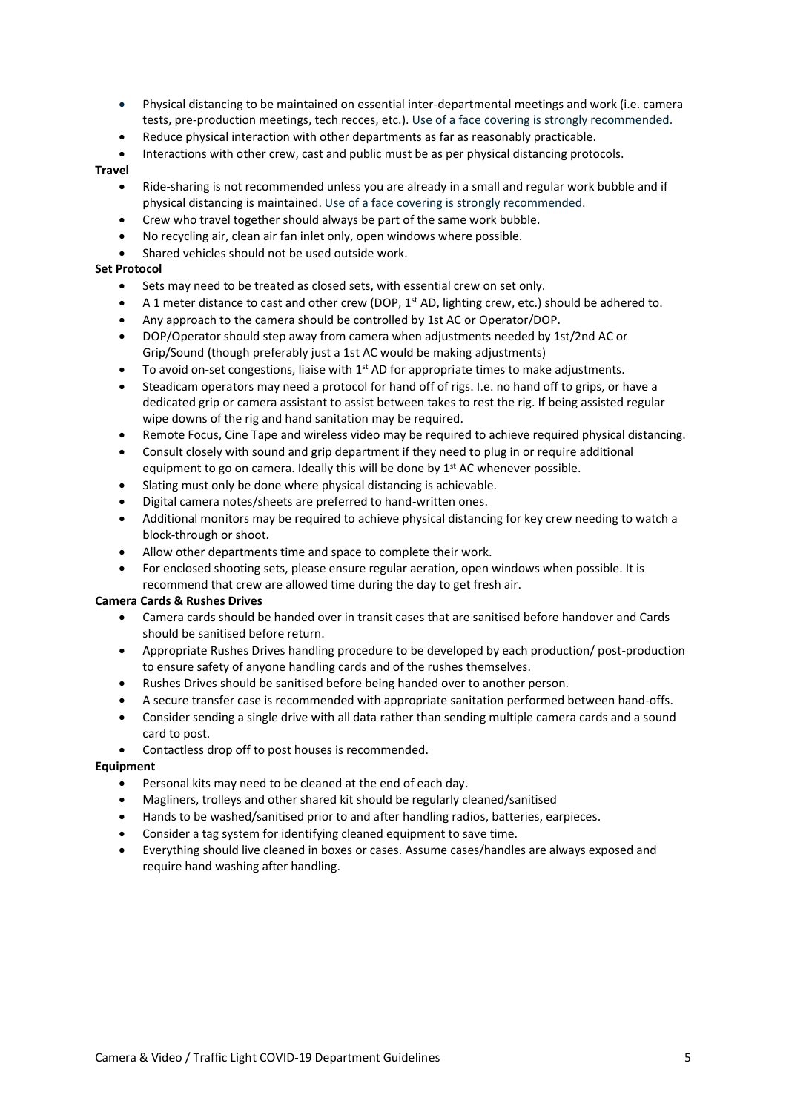- Physical distancing to be maintained on essential inter-departmental meetings and work (i.e. camera tests, pre-production meetings, tech recces, etc.). Use of a face covering is strongly recommended.
- Reduce physical interaction with other departments as far as reasonably practicable.
- Interactions with other crew, cast and public must be as per physical distancing protocols.

#### **Travel**

- Ride-sharing is not recommended unless you are already in a small and regular work bubble and if physical distancing is maintained. Use of a face covering is strongly recommended.
- Crew who travel together should always be part of the same work bubble.
- No recycling air, clean air fan inlet only, open windows where possible.
- Shared vehicles should not be used outside work.

# **Set Protocol**

- Sets may need to be treated as closed sets, with essential crew on set only.
- A 1 meter distance to cast and other crew (DOP,  $1^{st}$  AD, lighting crew, etc.) should be adhered to.
- Any approach to the camera should be controlled by 1st AC or Operator/DOP.
- DOP/Operator should step away from camera when adjustments needed by 1st/2nd AC or Grip/Sound (though preferably just a 1st AC would be making adjustments)
- To avoid on-set congestions, liaise with  $1<sup>st</sup>$  AD for appropriate times to make adjustments.
- Steadicam operators may need a protocol for hand off of rigs. I.e. no hand off to grips, or have a dedicated grip or camera assistant to assist between takes to rest the rig. If being assisted regular wipe downs of the rig and hand sanitation may be required.
- Remote Focus, Cine Tape and wireless video may be required to achieve required physical distancing.
- Consult closely with sound and grip department if they need to plug in or require additional equipment to go on camera. Ideally this will be done by  $1<sup>st</sup>$  AC whenever possible.
- Slating must only be done where physical distancing is achievable.
- Digital camera notes/sheets are preferred to hand-written ones.
- Additional monitors may be required to achieve physical distancing for key crew needing to watch a block-through or shoot.
- Allow other departments time and space to complete their work.
- For enclosed shooting sets, please ensure regular aeration, open windows when possible. It is recommend that crew are allowed time during the day to get fresh air.

#### **Camera Cards & Rushes Drives**

- Camera cards should be handed over in transit cases that are sanitised before handover and Cards should be sanitised before return.
- Appropriate Rushes Drives handling procedure to be developed by each production/ post-production to ensure safety of anyone handling cards and of the rushes themselves.
- Rushes Drives should be sanitised before being handed over to another person.
- A secure transfer case is recommended with appropriate sanitation performed between hand-offs.
- Consider sending a single drive with all data rather than sending multiple camera cards and a sound card to post.
- Contactless drop off to post houses is recommended.

#### **Equipment**

- Personal kits may need to be cleaned at the end of each day.
- Magliners, trolleys and other shared kit should be regularly cleaned/sanitised
- Hands to be washed/sanitised prior to and after handling radios, batteries, earpieces.
- Consider a tag system for identifying cleaned equipment to save time.
- Everything should live cleaned in boxes or cases. Assume cases/handles are always exposed and require hand washing after handling.